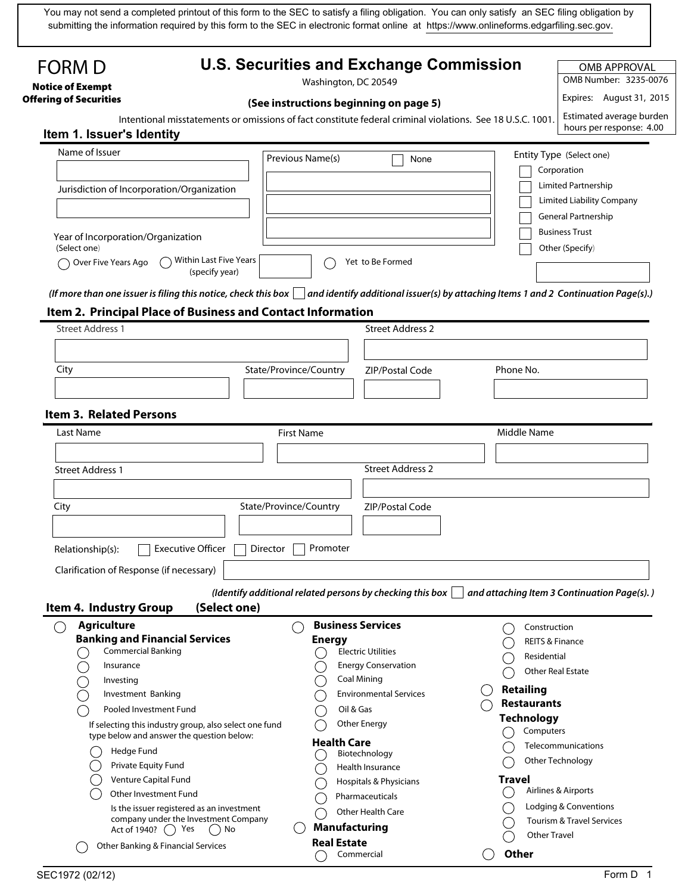You may not send a completed printout of this form to the SEC to satisfy a filing obligation. You can only satisfy an SEC filing obligation by submitting the information required by this form to the SEC in electronic format online at https://www.onlineforms.edgarfiling.sec.gov.

|                                                                         | <b>U.S. Securities and Exchange Commission</b>                                                                                                             | <b>OMB APPROVAL</b><br>OMB Number: 3235-0076                    |
|-------------------------------------------------------------------------|------------------------------------------------------------------------------------------------------------------------------------------------------------|-----------------------------------------------------------------|
| <b>Notice of Exempt</b>                                                 | Washington, DC 20549                                                                                                                                       |                                                                 |
| <b>Offering of Securities</b><br>(See instructions beginning on page 5) |                                                                                                                                                            | Expires: August 31, 2015                                        |
| Item 1. Issuer's Identity                                               | Intentional misstatements or omissions of fact constitute federal criminal violations. See 18 U.S.C. 1001.                                                 | Estimated average burden<br>hours per response: 4.00            |
| Name of Issuer                                                          | Previous Name(s)<br>None                                                                                                                                   | Entity Type (Select one)                                        |
|                                                                         |                                                                                                                                                            | Corporation                                                     |
| Jurisdiction of Incorporation/Organization                              |                                                                                                                                                            | <b>Limited Partnership</b>                                      |
|                                                                         |                                                                                                                                                            | <b>Limited Liability Company</b>                                |
|                                                                         |                                                                                                                                                            | <b>General Partnership</b>                                      |
| Year of Incorporation/Organization<br>(Select one)                      |                                                                                                                                                            | <b>Business Trust</b><br>Other (Specify)                        |
| <b>Within Last Five Years</b><br>Over Five Years Ago<br>(specify year)  | Yet to Be Formed                                                                                                                                           |                                                                 |
|                                                                         | (If more than one issuer is filing this notice, check this box $\vert$ and identify additional issuer(s) by attaching Items 1 and 2 Continuation Page(s).) |                                                                 |
| Item 2. Principal Place of Business and Contact Information             |                                                                                                                                                            |                                                                 |
| <b>Street Address 1</b>                                                 | <b>Street Address 2</b>                                                                                                                                    |                                                                 |
|                                                                         |                                                                                                                                                            |                                                                 |
| City                                                                    | State/Province/Country<br>ZIP/Postal Code                                                                                                                  | Phone No.                                                       |
|                                                                         |                                                                                                                                                            |                                                                 |
| <b>Item 3. Related Persons</b>                                          |                                                                                                                                                            |                                                                 |
| Last Name                                                               | <b>First Name</b>                                                                                                                                          | Middle Name                                                     |
|                                                                         |                                                                                                                                                            |                                                                 |
| <b>Street Address 1</b>                                                 | <b>Street Address 2</b>                                                                                                                                    |                                                                 |
|                                                                         |                                                                                                                                                            |                                                                 |
| City                                                                    | State/Province/Country<br>ZIP/Postal Code                                                                                                                  |                                                                 |
|                                                                         |                                                                                                                                                            |                                                                 |
|                                                                         |                                                                                                                                                            |                                                                 |
|                                                                         |                                                                                                                                                            |                                                                 |
| Executive Officer   Director   Promoter<br>Relationship(s):             |                                                                                                                                                            |                                                                 |
| Clarification of Response (if necessary)                                |                                                                                                                                                            |                                                                 |
|                                                                         | (Identify additional related persons by checking this box $ $ )                                                                                            |                                                                 |
| Item 4. Industry Group<br>(Select one)                                  |                                                                                                                                                            |                                                                 |
| <b>Agriculture</b><br>$( \ )$                                           | <b>Business Services</b>                                                                                                                                   | Construction                                                    |
| <b>Banking and Financial Services</b><br><b>Commercial Banking</b>      | <b>Energy</b><br><b>Electric Utilities</b>                                                                                                                 | <b>REITS &amp; Finance</b>                                      |
| Insurance                                                               | <b>Energy Conservation</b>                                                                                                                                 | Residential                                                     |
| Investing                                                               | <b>Coal Mining</b>                                                                                                                                         | Other Real Estate                                               |
| Investment Banking                                                      | <b>Environmental Services</b>                                                                                                                              | and attaching Item 3 Continuation Page(s).)<br><b>Retailing</b> |
| Pooled Investment Fund                                                  | Oil & Gas                                                                                                                                                  | <b>Restaurants</b>                                              |
| If selecting this industry group, also select one fund                  | Other Energy                                                                                                                                               | <b>Technology</b><br>Computers                                  |
| type below and answer the question below:                               | <b>Health Care</b>                                                                                                                                         | Telecommunications                                              |
| Hedge Fund<br>Private Equity Fund                                       | Biotechnology                                                                                                                                              | Other Technology                                                |
| Venture Capital Fund                                                    | Health Insurance<br>Hospitals & Physicians                                                                                                                 | Travel                                                          |
| Other Investment Fund                                                   | Pharmaceuticals                                                                                                                                            | Airlines & Airports                                             |
| Is the issuer registered as an investment                               | Other Health Care                                                                                                                                          | Lodging & Conventions                                           |
| company under the Investment Company<br>Act of 1940? () Yes<br>( )No    | <b>Manufacturing</b>                                                                                                                                       | Tourism & Travel Services<br><b>Other Travel</b>                |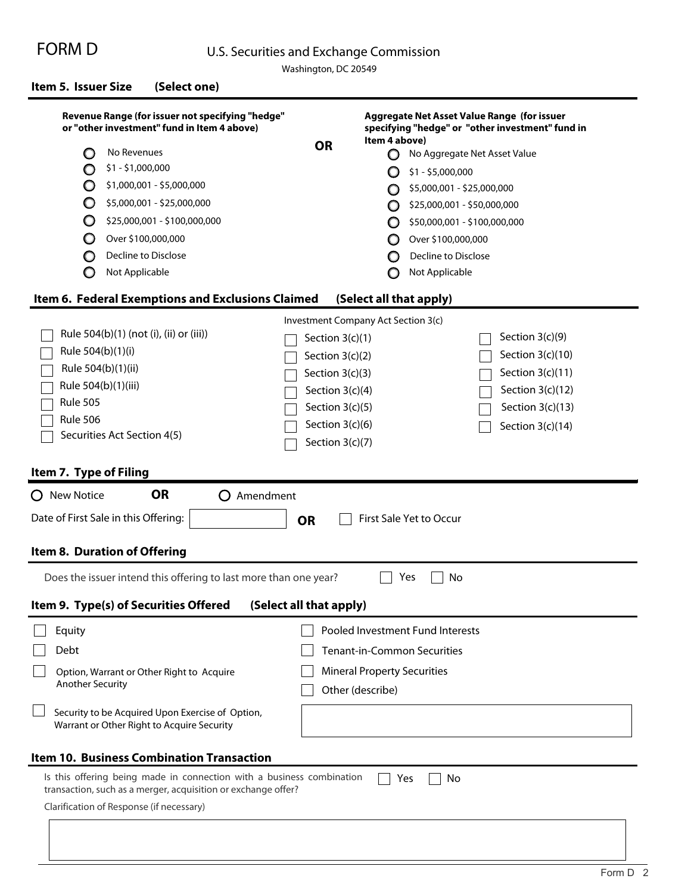Washington, DC 20549

## **Item 5. Issuer Size (Select one)**

| Revenue Range (for issuer not specifying "hedge"<br>or "other investment" fund in Item 4 above) | <b>Aggregate Net Asset Value Range (for issuer</b><br>specifying "hedge" or "other investment" fund in<br>Item 4 above) |
|-------------------------------------------------------------------------------------------------|-------------------------------------------------------------------------------------------------------------------------|
| No Revenues<br>O                                                                                | <b>OR</b><br>O<br>No Aggregate Net Asset Value                                                                          |
| $$1 - $1,000,000$<br>O                                                                          | $$1 - $5,000,000$<br>O                                                                                                  |
| \$1,000,001 - \$5,000,000<br>O                                                                  | \$5,000,001 - \$25,000,000<br>O                                                                                         |
| O<br>\$5,000,001 - \$25,000,000                                                                 | \$25,000,001 - \$50,000,000<br>O                                                                                        |
| \$25,000,001 - \$100,000,000<br>O                                                               | \$50,000,001 - \$100,000,000<br>O                                                                                       |
| Over \$100,000,000<br>O                                                                         | Over \$100,000,000<br>O                                                                                                 |
| Decline to Disclose<br>O                                                                        | Decline to Disclose<br>O                                                                                                |
| Not Applicable<br>O                                                                             | Not Applicable<br>O                                                                                                     |
| Item 6. Federal Exemptions and Exclusions Claimed                                               | (Select all that apply)                                                                                                 |
|                                                                                                 | Investment Company Act Section 3(c)                                                                                     |
| Rule 504(b)(1) (not (i), (ii) or (iii))                                                         | Section 3(c)(9)<br>Section $3(c)(1)$                                                                                    |
| Rule 504(b)(1)(i)                                                                               | Section 3(c)(10)<br>Section 3(c)(2)                                                                                     |
| Rule 504(b)(1)(ii)                                                                              | Section $3(c)(11)$<br>Section $3(c)(3)$                                                                                 |
| Rule 504(b)(1)(iii)                                                                             | Section 3(c)(12)<br>Section 3(c)(4)                                                                                     |
| <b>Rule 505</b>                                                                                 | Section $3(c)(5)$<br>Section $3(c)(13)$                                                                                 |
| <b>Rule 506</b>                                                                                 | Section 3(c)(6)<br>Section 3(c)(14)                                                                                     |
| Securities Act Section 4(5)                                                                     | Section 3(c)(7)                                                                                                         |
| Item 7. Type of Filing                                                                          |                                                                                                                         |
|                                                                                                 |                                                                                                                         |
| <b>OR</b><br>O New Notice<br>O Amendment                                                        |                                                                                                                         |
| Date of First Sale in this Offering:                                                            | First Sale Yet to Occur<br><b>OR</b>                                                                                    |
| <b>Item 8. Duration of Offering</b>                                                             |                                                                                                                         |
| Does the issuer intend this offering to last more than one year?                                | No<br>Yes                                                                                                               |
| Item 9. Type(s) of Securities Offered                                                           | (Select all that apply)                                                                                                 |
| Equity                                                                                          | Pooled Investment Fund Interests                                                                                        |
| Debt                                                                                            | <b>Tenant-in-Common Securities</b>                                                                                      |
|                                                                                                 |                                                                                                                         |
| Option, Warrant or Other Right to Acquire<br><b>Another Security</b>                            | <b>Mineral Property Securities</b>                                                                                      |
| Security to be Acquired Upon Exercise of Option,                                                | Other (describe)                                                                                                        |
| Warrant or Other Right to Acquire Security                                                      |                                                                                                                         |
| <b>Item 10. Business Combination Transaction</b>                                                |                                                                                                                         |
| Is this offering being made in connection with a business combination                           | Yes<br>No                                                                                                               |
| transaction, such as a merger, acquisition or exchange offer?                                   |                                                                                                                         |
| Clarification of Response (if necessary)                                                        |                                                                                                                         |
|                                                                                                 |                                                                                                                         |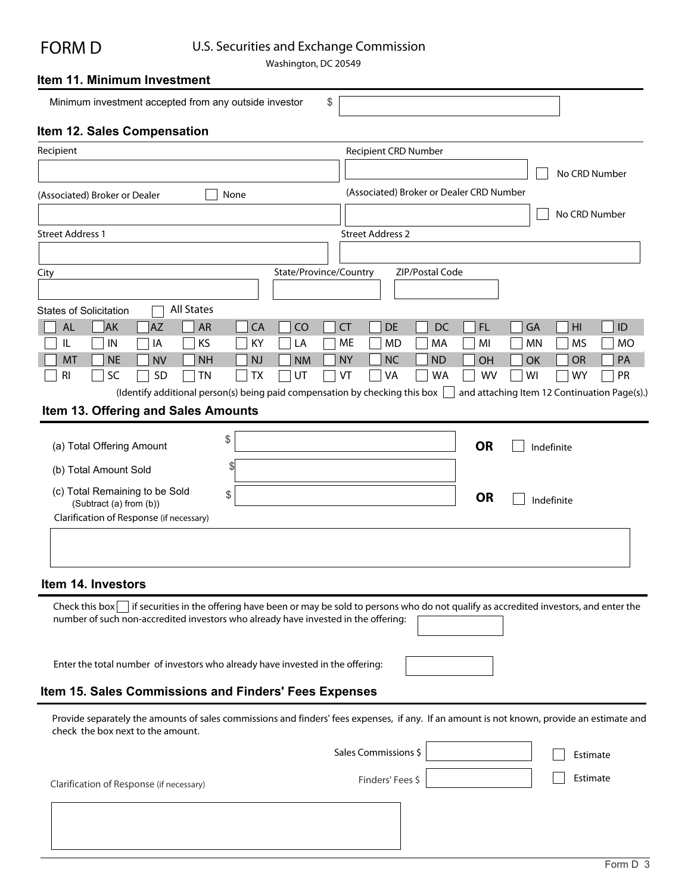# FORM D

## U.S. Securities and Exchange Commission

Washington, DC 20549

### **Item 11. Minimum Investment**

| \$<br>Minimum investment accepted from any outside investor                                                                                        |                                          |                 |                                                    |
|----------------------------------------------------------------------------------------------------------------------------------------------------|------------------------------------------|-----------------|----------------------------------------------------|
| Item 12. Sales Compensation                                                                                                                        |                                          |                 |                                                    |
| Recipient                                                                                                                                          | <b>Recipient CRD Number</b>              |                 |                                                    |
|                                                                                                                                                    |                                          |                 | No CRD Number                                      |
| (Associated) Broker or Dealer<br>None                                                                                                              | (Associated) Broker or Dealer CRD Number |                 |                                                    |
|                                                                                                                                                    |                                          |                 | No CRD Number                                      |
| <b>Street Address 1</b>                                                                                                                            | <b>Street Address 2</b>                  |                 |                                                    |
|                                                                                                                                                    |                                          |                 |                                                    |
| State/Province/Country<br>City                                                                                                                     | ZIP/Postal Code                          |                 |                                                    |
|                                                                                                                                                    |                                          |                 |                                                    |
| <b>All States</b><br><b>States of Solicitation</b>                                                                                                 |                                          |                 |                                                    |
| <b>AL</b><br><b>AK</b><br><b>IAZ</b><br><b>AR</b><br><b>CA</b><br>CO                                                                               | <b>DE</b><br>DC<br>CT                    | FL              | GA<br>H <sub>II</sub><br>ID                        |
| IN<br>KS<br>KY<br>IL<br>IA<br>LA                                                                                                                   | ME<br>MD<br>МA                           | MI              | ΜN<br>MS<br>МO                                     |
| <b>NE</b><br><b>NV</b><br><b>NH</b><br><b>NJ</b><br>МT<br><b>NM</b>                                                                                | <b>NY</b><br><b>NC</b><br><b>ND</b>      | <b>OH</b><br>WV | PA<br><b>OK</b><br>OR<br>WY<br>PR                  |
| SD<br>R <sub>l</sub><br>SC<br><b>TN</b><br><b>TX</b><br>UT<br>(Identify additional person(s) being paid compensation by checking this box          | VA<br>WA<br>VT                           |                 | WI<br>and attaching Item 12 Continuation Page(s).) |
| Item 13. Offering and Sales Amounts                                                                                                                |                                          |                 |                                                    |
|                                                                                                                                                    |                                          |                 |                                                    |
| \$<br>(a) Total Offering Amount                                                                                                                    |                                          | <b>OR</b>       | Indefinite                                         |
| (b) Total Amount Sold                                                                                                                              |                                          |                 |                                                    |
| (c) Total Remaining to be Sold                                                                                                                     |                                          |                 |                                                    |
| \$<br>(Subtract (a) from (b))                                                                                                                      |                                          | <b>OR</b>       | Indefinite                                         |
| Clarification of Response (if necessary)                                                                                                           |                                          |                 |                                                    |
|                                                                                                                                                    |                                          |                 |                                                    |
|                                                                                                                                                    |                                          |                 |                                                    |
| Item 14. Investors                                                                                                                                 |                                          |                 |                                                    |
| Check this box $\vert$ if securities in the offering have been or may be sold to persons who do not qualify as accredited investors, and enter the |                                          |                 |                                                    |
|                                                                                                                                                    |                                          |                 |                                                    |

# **Item 15. Sales Commissions and Finders' Fees Expenses**

Enter the total number of investors who already have invested in the offering:

Provide separately the amounts of sales commissions and finders' fees expenses, if any. If an amount is not known, provide an estimate and check the box next to the amount.

|                                          | Sales Commissions \$ | Estimate |
|------------------------------------------|----------------------|----------|
| Clarification of Response (if necessary) | Finders' Fees \$     | Estimate |
|                                          |                      |          |
|                                          |                      |          |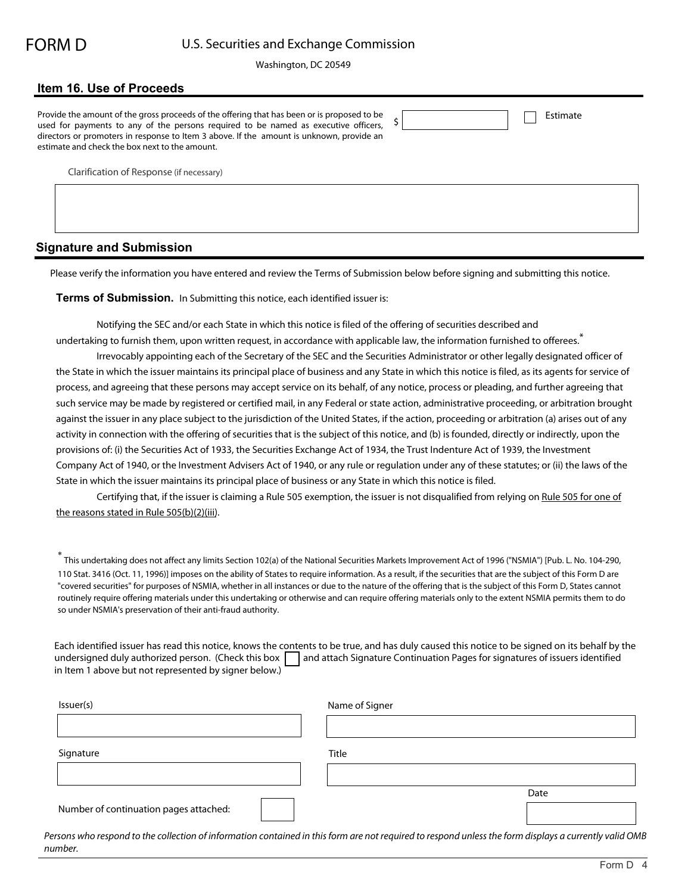# FORM D

### U.S. Securities and Exchange Commission

Washington, DC 20549

### **Item 16. Use of Proceeds**

Provide the amount of the gross proceeds of the offering that has been or is proposed to be used for payments to any of the persons required to be named as executive officers, directors or promoters in response to Item 3 above. If the amount is unknown, provide an estimate and check the box next to the amount.

s Solution Section 1 and 1 and 1 and 1 and 1 and 1 and 1 and 1 and 1 and 1 and 1 and 1 and 1 and 1 and 1 and 1

Clarification of Response (if necessary)

### **Signature and Submission**

Please verify the information you have entered and review the Terms of Submission below before signing and submitting this notice.

**Terms of Submission.** In Submitting this notice, each identified issuer is:

Notifying the SEC and/or each State in which this notice is filed of the offering of securities described and undertaking to furnish them, upon written request, in accordance with applicable law, the information furnished to offerees.

Irrevocably appointing each of the Secretary of the SEC and the Securities Administrator or other legally designated officer of the State in which the issuer maintains its principal place of business and any State in which this notice is filed, as its agents for service of process, and agreeing that these persons may accept service on its behalf, of any notice, process or pleading, and further agreeing that such service may be made by registered or certified mail, in any Federal or state action, administrative proceeding, or arbitration brought against the issuer in any place subject to the jurisdiction of the United States, if the action, proceeding or arbitration (a) arises out of any activity in connection with the offering of securities that is the subject of this notice, and (b) is founded, directly or indirectly, upon the provisions of: (i) the Securities Act of 1933, the Securities Exchange Act of 1934, the Trust Indenture Act of 1939, the Investment Company Act of 1940, or the Investment Advisers Act of 1940, or any rule or regulation under any of these statutes; or (ii) the laws of the State in which the issuer maintains its principal place of business or any State in which this notice is filed.

Certifying that, if the issuer is claiming a Rule 505 exemption, the issuer is not disqualified from relying on Rule 505 for one of the reasons stated in Rule 505(b)(2)(iii).

\* This undertaking does not affect any limits Section 102(a) of the National Securities Markets Improvement Act of 1996 ("NSMIA") [Pub. L. No. 104-290, 110 Stat. 3416 (Oct. 11, 1996)] imposes on the ability of States to require information. As a result, if the securities that are the subject of this Form D are "covered securities" for purposes of NSMIA, whether in all instances or due to the nature of the offering that is the subject of this Form D, States cannot routinely require offering materials under this undertaking or otherwise and can require offering materials only to the extent NSMIA permits them to do so under NSMIA's preservation of their anti-fraud authority.

undersigned duly authorized person. (Check this box | Each identified issuer has read this notice, knows the contents to be true, and has duly caused this notice to be signed on its behalf by the and attach Signature Continuation Pages for signatures of issuers identified in Item 1 above but not represented by signer below.)

| Issuer(s)                              | Name of Signer |      |
|----------------------------------------|----------------|------|
|                                        |                |      |
| Signature                              | Title          |      |
|                                        |                |      |
|                                        |                | Date |
| Number of continuation pages attached: |                |      |

Persons who respond to the collection of information contained in this form are not required to respond unless the form displays a currently valid OMB number.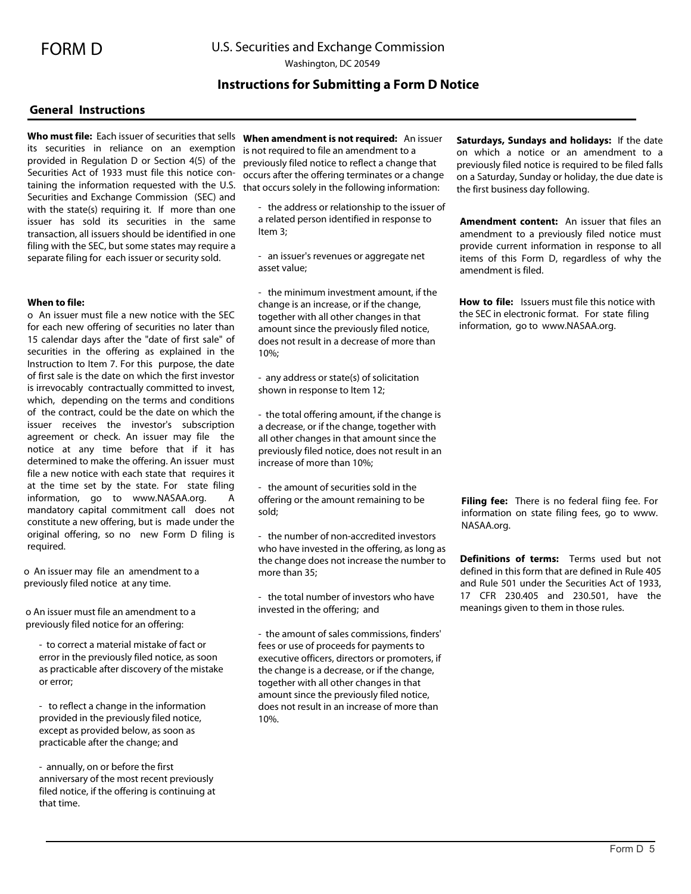## **Instructions for Submitting a Form D Notice**

### **General 3. Related Persons l Instructions** *(continued)*

**Who must file:** Each issuer of securities that sells **When amendment is not required:** An issuer its securities in reliance on an exemption provided in Regulation D or Section 4(5) of the Securities Act of 1933 must file this notice containing the information requested with the U.S. Securities and Exchange Commission (SEC) and with the state(s) requiring it. If more than one issuer has sold its securities in the same transaction, all issuers should be identified in one filing with the SEC, but some states may require a separate filing for each issuer or security sold.

#### **When to file:**

o An issuer must file a new notice with the SEC for each new offering of securities no later than 15 calendar days after the "date of first sale" of securities in the offering as explained in the Instruction to Item 7. For this purpose, the date of first sale is the date on which the first investor is irrevocably contractually committed to invest, which, depending on the terms and conditions of the contract, could be the date on which the issuer receives the investor's subscription agreement or check. An issuer may file the notice at any time before that if it has determined to make the offering. An issuer must file a new notice with each state that requires it at the time set by the state. For state filing information, go to www.NASAA.org. A mandatory capital commitment call does not constitute a new offering, but is made under the original offering, so no new Form D filing is required.

o An issuer may file an amendment to a previously filed notice at any time.

o An issuer must file an amendment to a previously filed notice for an offering:

- to correct a material mistake of fact or error in the previously filed notice, as soon as practicable after discovery of the mistake or error;

- to reflect a change in the information provided in the previously filed notice, except as provided below, as soon as practicable after the change; and

- annually, on or before the first anniversary of the most recent previously filed notice, if the offering is continuing at that time.

is not required to file an amendment to a previously filed notice to reflect a change that occurs after the offering terminates or a change that occurs solely in the following information:

- the address or relationship to the issuer of a related person identified in response to Item 3;

- an issuer's revenues or aggregate net asset value;

- the minimum investment amount, if the change is an increase, or if the change, together with all other changes in that amount since the previously filed notice, does not result in a decrease of more than 10%;

- any address or state(s) of solicitation shown in response to Item 12;

- the total offering amount, if the change is a decrease, or if the change, together with all other changes in that amount since the previously filed notice, does not result in an increase of more than 10%;

- the amount of securities sold in the offering or the amount remaining to be sold;

- the number of non-accredited investors who have invested in the offering, as long as the change does not increase the number to more than 35;

- the total number of investors who have invested in the offering; and

- the amount of sales commissions, finders' fees or use of proceeds for payments to executive officers, directors or promoters, if the change is a decrease, or if the change, together with all other changes in that amount since the previously filed notice, does not result in an increase of more than 10%.

**Saturdays, Sundays and holidays:** If the date on which a notice or an amendment to a previously filed notice is required to be filed falls on a Saturday, Sunday or holiday, the due date is the first business day following.

**Amendment content:** An issuer that files an amendment to a previously filed notice must provide current information in response to all items of this Form D, regardless of why the amendment is filed.

**How to file:** Issuers must file this notice with the SEC in electronic format. For state filing information, go to www.NASAA.org.

**Filing fee:** There is no federal fiing fee. For information on state filing fees, go to www. NASAA.org.

**Definitions of terms:** Terms used but not defined in this form that are defined in Rule 405 and Rule 501 under the Securities Act of 1933, 17 CFR 230.405 and 230.501, have the meanings given to them in those rules.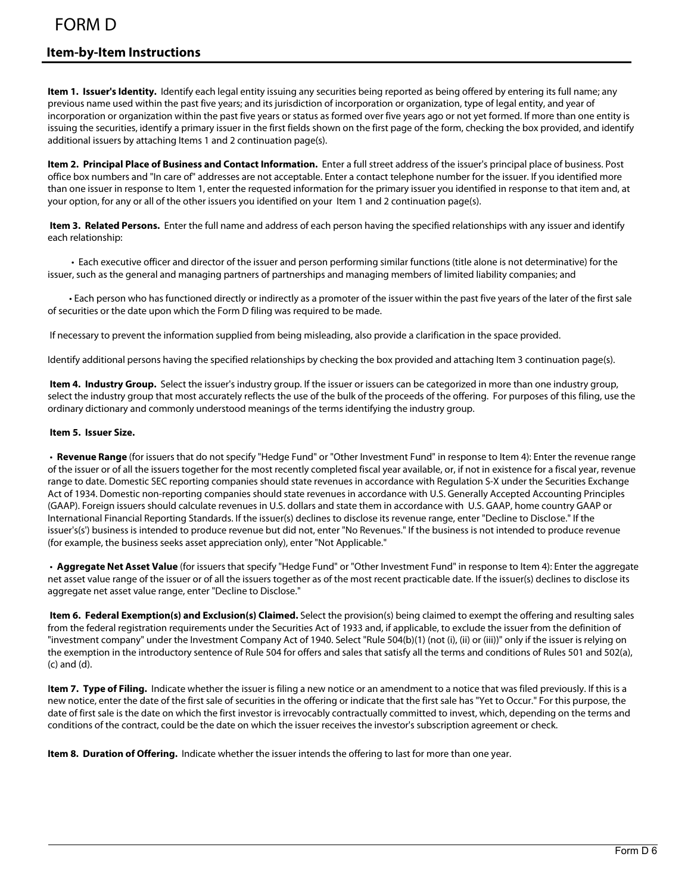### **Item-by-Item Instructions**

**Item 1. Issuer's Identity.** Identify each legal entity issuing any securities being reported as being offered by entering its full name; any previous name used within the past five years; and its jurisdiction of incorporation or organization, type of legal entity, and year of incorporation or organization within the past five years or status as formed over five years ago or not yet formed. If more than one entity is issuing the securities, identify a primary issuer in the first fields shown on the first page of the form, checking the box provided, and identify additional issuers by attaching Items 1 and 2 continuation page(s).

**Item 2. Principal Place of Business and Contact Information.** Enter a full street address of the issuer's principal place of business. Post office box numbers and "In care of" addresses are not acceptable. Enter a contact telephone number for the issuer. If you identified more than one issuer in response to Item 1, enter the requested information for the primary issuer you identified in response to that item and, at your option, for any or all of the other issuers you identified on your Item 1 and 2 continuation page(s).

 **Item 3. Related Persons.** Enter the full name and address of each person having the specified relationships with any issuer and identify each relationship:

 • Each executive officer and director of the issuer and person performing similar functions (title alone is not determinative) for the issuer, such as the general and managing partners of partnerships and managing members of limited liability companies; and

 • Each person who has functioned directly or indirectly as a promoter of the issuer within the past five years of the later of the first sale of securities or the date upon which the Form D filing was required to be made.

If necessary to prevent the information supplied from being misleading, also provide a clarification in the space provided.

Identify additional persons having the specified relationships by checking the box provided and attaching Item 3 continuation page(s).

**Item 4. Industry Group.** Select the issuer's industry group. If the issuer or issuers can be categorized in more than one industry group, select the industry group that most accurately reflects the use of the bulk of the proceeds of the offering. For purposes of this filing, use the ordinary dictionary and commonly understood meanings of the terms identifying the industry group.

#### **Item 5. Issuer Size.**

 • **Revenue Range** (for issuers that do not specify "Hedge Fund" or "Other Investment Fund" in response to Item 4): Enter the revenue range of the issuer or of all the issuers together for the most recently completed fiscal year available, or, if not in existence for a fiscal year, revenue range to date. Domestic SEC reporting companies should state revenues in accordance with Regulation S-X under the Securities Exchange Act of 1934. Domestic non-reporting companies should state revenues in accordance with U.S. Generally Accepted Accounting Principles (GAAP). Foreign issuers should calculate revenues in U.S. dollars and state them in accordance with U.S. GAAP, home country GAAP or International Financial Reporting Standards. If the issuer(s) declines to disclose its revenue range, enter "Decline to Disclose." If the issuer's(s') business is intended to produce revenue but did not, enter "No Revenues." If the business is not intended to produce revenue (for example, the business seeks asset appreciation only), enter "Not Applicable."

 • **Aggregate Net Asset Value** (for issuers that specify "Hedge Fund" or "Other Investment Fund" in response to Item 4): Enter the aggregate net asset value range of the issuer or of all the issuers together as of the most recent practicable date. If the issuer(s) declines to disclose its aggregate net asset value range, enter "Decline to Disclose."

 **Item 6. Federal Exemption(s) and Exclusion(s) Claimed.** Select the provision(s) being claimed to exempt the offering and resulting sales from the federal registration requirements under the Securities Act of 1933 and, if applicable, to exclude the issuer from the definition of "investment company" under the Investment Company Act of 1940. Select "Rule 504(b)(1) (not (i), (ii) or (iii))" only if the issuer is relying on the exemption in the introductory sentence of Rule 504 for offers and sales that satisfy all the terms and conditions of Rules 501 and 502(a), (c) and (d).

**Item 7. Type of Filing.** Indicate whether the issuer is filing a new notice or an amendment to a notice that was filed previously. If this is a new notice, enter the date of the first sale of securities in the offering or indicate that the first sale has "Yet to Occur." For this purpose, the date of first sale is the date on which the first investor is irrevocably contractually committed to invest, which, depending on the terms and conditions of the contract, could be the date on which the issuer receives the investor's subscription agreement or check.

**Item 8. Duration of Offering.** Indicate whether the issuer intends the offering to last for more than one year.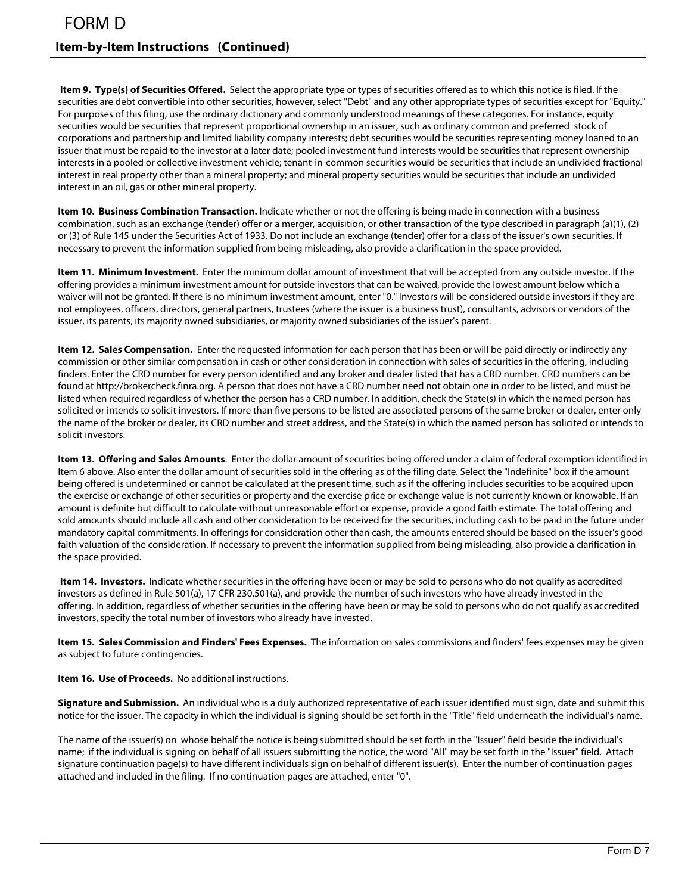**Item 9. Type(s) of Securities Offered.** Select the appropriate type or types of securities offered as to which this notice is filed. If the securities are debt convertible into other securities, however, select "Debt" and any other appropriate types of securities except for "Equity." For purposes of this filing, use the ordinary dictionary and commonly understood meanings of these categories. For instance, equity securities would be securities that represent proportional ownership in an issuer, such as ordinary common and preferred stock of corporations and partnership and limited liability company interests; debt securities would be securities representing money loaned to an issuer that must be repaid to the investor at a later date; pooled investment fund interests would be securities that represent ownership interests in a pooled or collective investment vehicle; tenant-in-common securities would be securities that include an undivided fractional interest in real property other than a mineral property; and mineral property securities would be securities that include an undivided interest in an oil, gas or other mineral property.

**Item 10. Business Combination Transaction.** Indicate whether or not the offering is being made in connection with a business combination, such as an exchange (tender) offer or a merger, acquisition, or other transaction of the type described in paragraph (a)(1), (2) or (3) of Rule 145 under the Securities Act of 1933. Do not include an exchange (tender) offer for a class of the issuer's own securities. If necessary to prevent the information supplied from being misleading, also provide a clarification in the space provided.

**Item 11. Minimum Investment.** Enter the minimum dollar amount of investment that will be accepted from any outside investor. If the offering provides a minimum investment amount for outside investors that can be waived, provide the lowest amount below which a waiver will not be granted. If there is no minimum investment amount, enter "0." Investors will be considered outside investors if they are not employees, officers, directors, general partners, trustees (where the issuer is a business trust), consultants, advisors or vendors of the issuer, its parents, its majority owned subsidiaries, or majority owned subsidiaries of the issuer's parent.

**Item 12. Sales Compensation.** Enter the requested information for each person that has been or will be paid directly or indirectly any commission or other similar compensation in cash or other consideration in connection with sales of securities in the offering, including finders. Enter the CRD number for every person identified and any broker and dealer listed that has a CRD number. CRD numbers can be found at http://brokercheck.finra.org. A person that does not have a CRD number need not obtain one in order to be listed, and must be listed when required regardless of whether the person has a CRD number. In addition, check the State(s) in which the named person has solicited or intends to solicit investors. If more than five persons to be listed are associated persons of the same broker or dealer, enter only the name of the broker or dealer, its CRD number and street address, and the State(s) in which the named person has solicited or intends to solicit investors.

**Item 13. Offering and Sales Amounts**. Enter the dollar amount of securities being offered under a claim of federal exemption identified in Item 6 above. Also enter the dollar amount of securities sold in the offering as of the filing date. Select the "Indefinite" box if the amount being offered is undetermined or cannot be calculated at the present time, such as if the offering includes securities to be acquired upon the exercise or exchange of other securities or property and the exercise price or exchange value is not currently known or knowable. If an amount is definite but difficult to calculate without unreasonable effort or expense, provide a good faith estimate. The total offering and sold amounts should include all cash and other consideration to be received for the securities, including cash to be paid in the future under mandatory capital commitments. In offerings for consideration other than cash, the amounts entered should be based on the issuer's good faith valuation of the consideration. If necessary to prevent the information supplied from being misleading, also provide a clarification in the space provided.

**Item 14. Investors.** Indicate whether securities in the offering have been or may be sold to persons who do not qualify as accredited investors as defined in Rule 501(a), 17 CFR 230.501(a), and provide the number of such investors who have already invested in the offering. In addition, regardless of whether securities in the offering have been or may be sold to persons who do not qualify as accredited investors, specify the total number of investors who already have invested.

**Item 15. Sales Commission and Finders' Fees Expenses.** The information on sales commissions and finders' fees expenses may be given as subject to future contingencies.

**Item 16. Use of Proceeds.** No additional instructions.

**Signature and Submission.** An individual who is a duly authorized representative of each issuer identified must sign, date and submit this notice for the issuer. The capacity in which the individual is signing should be set forth in the "Title" field underneath the individual's name.

The name of the issuer(s) on whose behalf the notice is being submitted should be set forth in the "Issuer" field beside the individual's name; if the individual is signing on behalf of all issuers submitting the notice, the word "All" may be set forth in the "Issuer" field. Attach signature continuation page(s) to have different individuals sign on behalf of different issuer(s). Enter the number of continuation pages attached and included in the filing. If no continuation pages are attached, enter "0".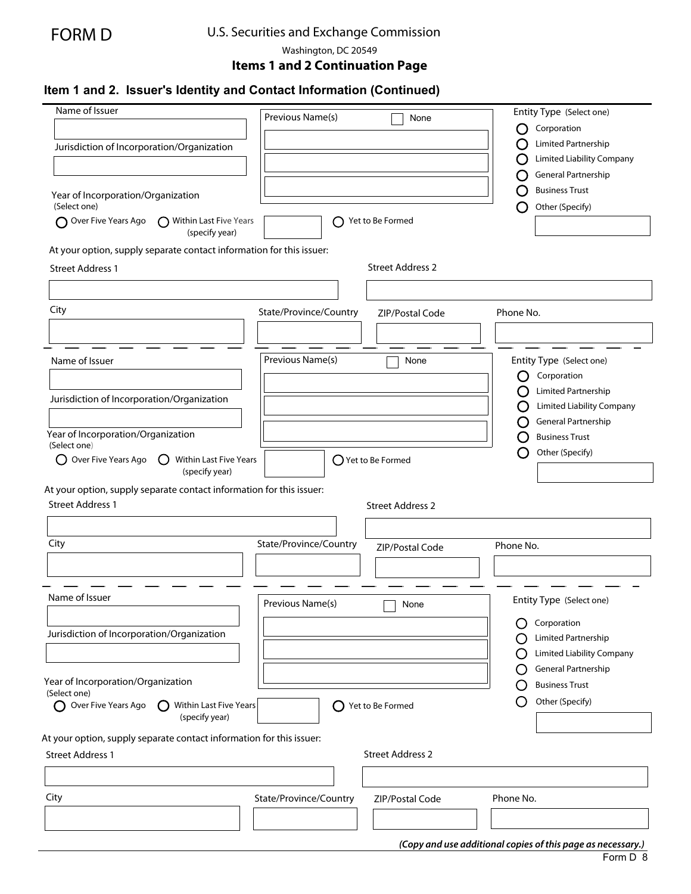# FORM D

# U.S. Securities and Exchange Commission

Washington, DC 20549

**Items 1 and 2 Continuation Page**

# **Item 1 and 2. Issuer's Identity and Contact Information (Continued)**

| Name of Issuer                                                                               |                        |                         | Entity Type (Select one)         |
|----------------------------------------------------------------------------------------------|------------------------|-------------------------|----------------------------------|
|                                                                                              | Previous Name(s)       | None                    | Corporation<br>0                 |
| Jurisdiction of Incorporation/Organization                                                   |                        |                         | <b>Limited Partnership</b>       |
|                                                                                              |                        |                         | Limited Liability Company        |
|                                                                                              |                        |                         | General Partnership              |
|                                                                                              |                        |                         | <b>Business Trust</b>            |
| Year of Incorporation/Organization<br>(Select one)                                           |                        |                         | Other (Specify)                  |
| Within Last Five Years<br>◯ Over Five Years Ago                                              | ( )                    | Yet to Be Formed        |                                  |
| (specify year)                                                                               |                        |                         |                                  |
| At your option, supply separate contact information for this issuer:                         |                        |                         |                                  |
| <b>Street Address 1</b>                                                                      |                        | <b>Street Address 2</b> |                                  |
|                                                                                              |                        |                         |                                  |
|                                                                                              |                        |                         |                                  |
| City                                                                                         | State/Province/Country | ZIP/Postal Code         | Phone No.                        |
|                                                                                              |                        |                         |                                  |
|                                                                                              |                        |                         |                                  |
| Name of Issuer                                                                               | Previous Name(s)       | None                    | Entity Type (Select one)         |
|                                                                                              |                        |                         | Corporation<br>( )               |
|                                                                                              |                        |                         | Limited Partnership              |
| Jurisdiction of Incorporation/Organization                                                   |                        |                         | <b>Limited Liability Company</b> |
|                                                                                              |                        |                         | General Partnership              |
| Year of Incorporation/Organization                                                           |                        |                         | <b>Business Trust</b>            |
| (Select one)                                                                                 |                        |                         | Other (Specify)                  |
| ◯ Over Five Years Ago<br><b>Within Last Five Years</b><br>$\left( \right)$<br>(specify year) |                        | ◯ Yet to Be Formed      |                                  |
|                                                                                              |                        |                         |                                  |
| At your option, supply separate contact information for this issuer:                         |                        |                         |                                  |
| <b>Street Address 1</b>                                                                      |                        | <b>Street Address 2</b> |                                  |
|                                                                                              |                        |                         |                                  |
| City                                                                                         | State/Province/Country | ZIP/Postal Code         | Phone No.                        |
|                                                                                              |                        |                         |                                  |
|                                                                                              |                        |                         |                                  |
| Name of Issuer                                                                               |                        |                         |                                  |
|                                                                                              | Previous Name(s)       | None                    | Entity Type (Select one)         |
|                                                                                              |                        |                         | Corporation                      |
| Jurisdiction of Incorporation/Organization                                                   |                        |                         | Limited Partnership              |
|                                                                                              |                        |                         | <b>Limited Liability Company</b> |
|                                                                                              |                        |                         | General Partnership              |
| Year of Incorporation/Organization                                                           |                        |                         | <b>Business Trust</b>            |
| (Select one)<br>$\bigcap$ Over Five Years Ago<br>◯ Within Last Five Years                    |                        | Yet to Be Formed        | Other (Specify)                  |
| (specify year)                                                                               | 0                      |                         |                                  |
|                                                                                              |                        |                         |                                  |
| At your option, supply separate contact information for this issuer:                         |                        |                         |                                  |
| <b>Street Address 1</b>                                                                      |                        | <b>Street Address 2</b> |                                  |
|                                                                                              |                        |                         |                                  |
| City                                                                                         | State/Province/Country | ZIP/Postal Code         | Phone No.                        |
|                                                                                              |                        |                         |                                  |
|                                                                                              |                        |                         |                                  |
|                                                                                              |                        |                         |                                  |

 **<sup>(</sup>Copy and use additional copies of this page as necessary.)**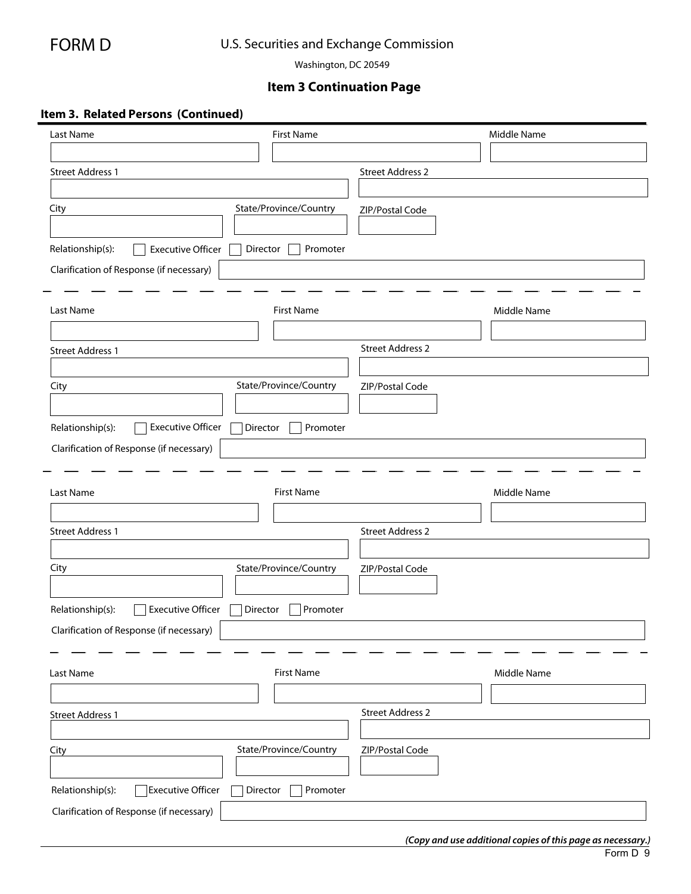

## U.S. Securities and Exchange Commission

Washington, DC 20549

### **Item 3 Continuation Page**

# **Item 3. Related Persons (Continued) 3. Related Persons** *(continued)*

| Last Name                                                | <b>First Name</b>      |                         | Middle Name |
|----------------------------------------------------------|------------------------|-------------------------|-------------|
|                                                          |                        |                         |             |
| <b>Street Address 1</b>                                  |                        | <b>Street Address 2</b> |             |
|                                                          |                        |                         |             |
| City                                                     | State/Province/Country | ZIP/Postal Code         |             |
|                                                          |                        |                         |             |
| <b>Executive Officer</b><br>Director<br>Relationship(s): | Promoter               |                         |             |
| Clarification of Response (if necessary)                 |                        |                         |             |
|                                                          |                        |                         |             |
| Last Name                                                | <b>First Name</b>      |                         | Middle Name |
|                                                          |                        |                         |             |
| <b>Street Address 1</b>                                  |                        | <b>Street Address 2</b> |             |
|                                                          |                        |                         |             |
| City                                                     | State/Province/Country | ZIP/Postal Code         |             |
|                                                          |                        |                         |             |
| <b>Executive Officer</b><br>Relationship(s):<br>Director | Promoter               |                         |             |
|                                                          |                        |                         |             |
| Clarification of Response (if necessary)                 |                        |                         |             |
|                                                          |                        |                         |             |
| Last Name                                                | <b>First Name</b>      |                         | Middle Name |
|                                                          |                        |                         |             |
| <b>Street Address 1</b>                                  |                        | <b>Street Address 2</b> |             |
|                                                          |                        |                         |             |
| City                                                     | State/Province/Country | ZIP/Postal Code         |             |
|                                                          |                        |                         |             |
| <b>Executive Officer</b><br>Relationship(s):<br>Director | Promoter               |                         |             |
| Clarification of Response (if necessary)                 |                        |                         |             |
|                                                          |                        |                         |             |
| Last Name                                                | <b>First Name</b>      |                         | Middle Name |
|                                                          |                        |                         |             |
| <b>Street Address 1</b>                                  |                        | <b>Street Address 2</b> |             |
|                                                          |                        |                         |             |
| City                                                     | State/Province/Country | ZIP/Postal Code         |             |
|                                                          |                        |                         |             |
| <b>Executive Officer</b><br>Director                     | Promoter               |                         |             |
| Relationship(s):                                         |                        |                         |             |
| Clarification of Response (if necessary)                 |                        |                         |             |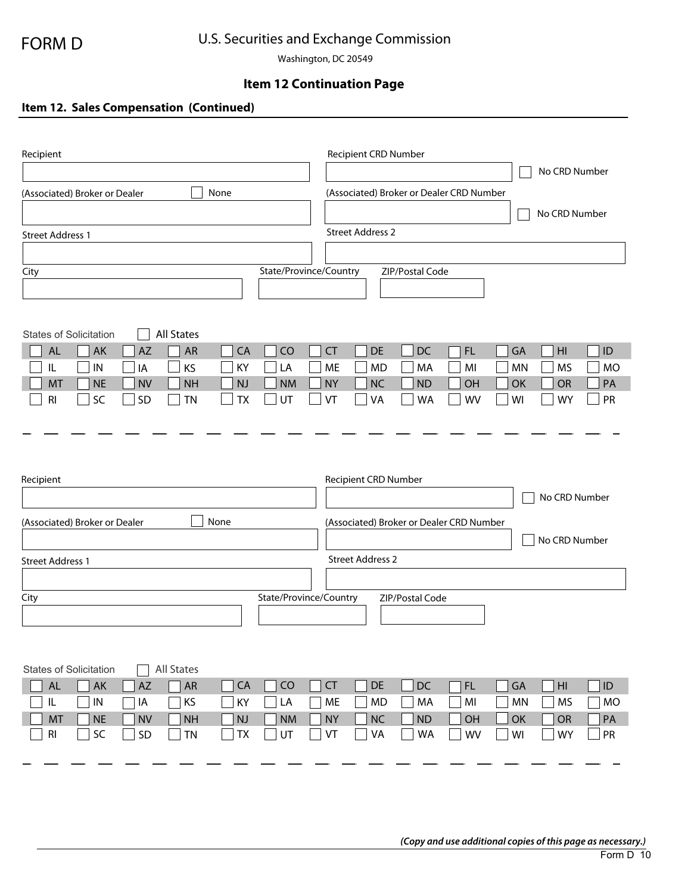Washington, DC 20549

# **Item 12 Continuation Page**

### **Item 12. Sales Compensation (Continued)**

| Recipient                                                                                               | <b>Recipient CRD Number</b><br>No CRD Number                                                                                                        |
|---------------------------------------------------------------------------------------------------------|-----------------------------------------------------------------------------------------------------------------------------------------------------|
| (Associated) Broker or Dealer<br>None                                                                   | (Associated) Broker or Dealer CRD Number                                                                                                            |
|                                                                                                         | No CRD Number                                                                                                                                       |
| <b>Street Address 1</b>                                                                                 | <b>Street Address 2</b>                                                                                                                             |
|                                                                                                         |                                                                                                                                                     |
| State/Province/Country<br>City                                                                          | ZIP/Postal Code                                                                                                                                     |
|                                                                                                         |                                                                                                                                                     |
|                                                                                                         |                                                                                                                                                     |
| <b>States of Solicitation</b><br><b>All States</b>                                                      |                                                                                                                                                     |
| <b>AR</b><br>CA<br>CO<br><b>AL</b><br><b>AK</b><br><b>AZ</b>                                            | H <sub>l</sub><br>ID<br>DE<br>DC<br>GA<br><b>CT</b><br>FL.                                                                                          |
| KY<br>IN<br>IA<br>KS<br>LA<br>IL<br>NJ<br><b>NV</b><br><b>NM</b><br><b>MT</b><br><b>NH</b><br><b>NE</b> | ME<br><b>MD</b><br>MA<br>MI<br><b>MN</b><br><b>MS</b><br><b>MO</b><br><b>NY</b><br><b>ND</b><br><b>OR</b><br><b>NC</b><br>OH<br>OK<br>PA            |
| <b>TX</b><br>SC<br>SD<br>UT<br>RI<br><b>TN</b>                                                          | WV<br>VT<br>VA<br><b>WA</b><br>WI<br>WY<br>PR                                                                                                       |
|                                                                                                         |                                                                                                                                                     |
|                                                                                                         |                                                                                                                                                     |
|                                                                                                         |                                                                                                                                                     |
|                                                                                                         |                                                                                                                                                     |
| Recipient                                                                                               | Recipient CRD Number                                                                                                                                |
|                                                                                                         | No CRD Number                                                                                                                                       |
| (Associated) Broker or Dealer<br>None                                                                   | (Associated) Broker or Dealer CRD Number                                                                                                            |
|                                                                                                         | No CRD Number                                                                                                                                       |
| <b>Street Address 1</b>                                                                                 | <b>Street Address 2</b>                                                                                                                             |
|                                                                                                         |                                                                                                                                                     |
| City<br>State/Province/Country                                                                          | ZIP/Postal Code                                                                                                                                     |
|                                                                                                         |                                                                                                                                                     |
|                                                                                                         |                                                                                                                                                     |
|                                                                                                         |                                                                                                                                                     |
| <b>All States</b><br><b>States of Solicitation</b>                                                      |                                                                                                                                                     |
| AK<br>${\sf CA}$<br>CO<br>$\mathsf{AL}$<br><b>AZ</b><br>${\sf AR}$<br>IL<br>KY<br>IN<br>IA<br>KS<br>LA  | $\mathsf{DE}% _{T}$<br>$\mathsf{DC}$<br>$\mathsf{HI}$<br>FL<br>GA<br>ID<br>CT<br>ME<br><b>MN</b><br><b>MD</b><br>MA<br>MI<br><b>MS</b><br><b>MO</b> |
| MT<br><b>NE</b><br><b>NH</b><br>$\mathsf{N}\mathsf{J}$<br><b>NM</b><br><b>NV</b>                        | <b>NY</b><br><b>ND</b><br>OK<br>PA<br>NC<br><b>OH</b><br>OR                                                                                         |
| R <sub>l</sub><br>SC<br>TX<br>SD<br><b>TN</b><br>UT                                                     | VT<br>VA<br>WA<br>WV<br>WI<br><b>WY</b><br>PR                                                                                                       |